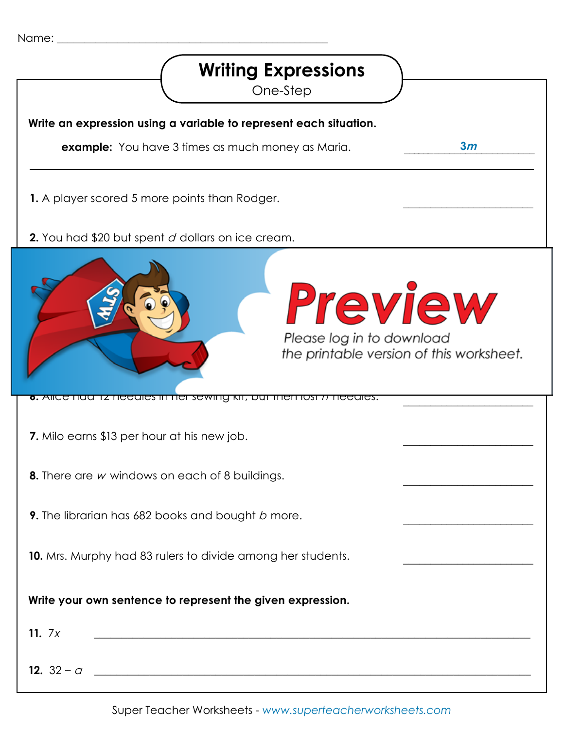| Name: |
|-------|
|-------|